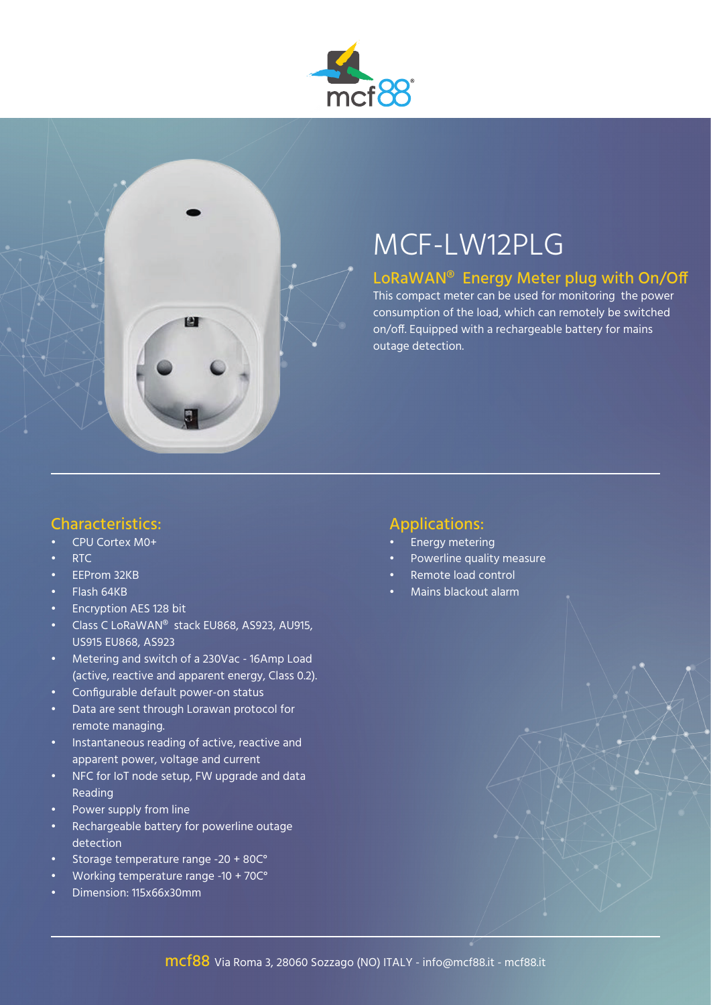

# MCF-LW12PLG

### LoRaWAN® Energy Meter plug with On/Off

This compact meter can be used for monitoring the power consumption of the load, which can remotely be switched on/off. Equipped with a rechargeable battery for mains outage detection.

#### Characteristics:

- CPU Cortex M0+
- RTC
- EEProm 32KB
- Flash 64KB
- Encryption AES 128 bit
- Class C LoRaWAN® stack EU868, AS923, AU915, US915 EU868, AS923
- Metering and switch of a 230Vac 16Amp Load (active, reactive and apparent energy, Class 0.2).
- Configurable default power-on status
- Data are sent through Lorawan protocol for remote managing.
- Instantaneous reading of active, reactive and apparent power, voltage and current
- NFC for IoT node setup, FW upgrade and data Reading
- Power supply from line
- Rechargeable battery for powerline outage detection
- Storage temperature range -20 + 80C°
- Working temperature range -10 + 70C°
- Dimension: 115x66x30mm

#### Applications:

- Energy metering
- Powerline quality measure
- Remote load control
- Mains blackout alarm